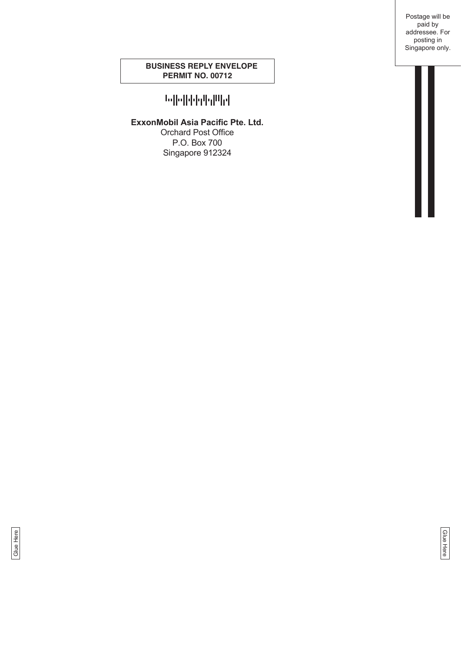Postage will be paid by addressee. For posting in Singapore only.

## **BUSINESS REPLY ENVELOPE PERMIT NO. 00712**

## 545166451961

## **ExxonMobil Asia Pacific Pte. Ltd.**

Orchard Post Office P.O. Box 700 Singapore 912324

Glue Here Glue Here